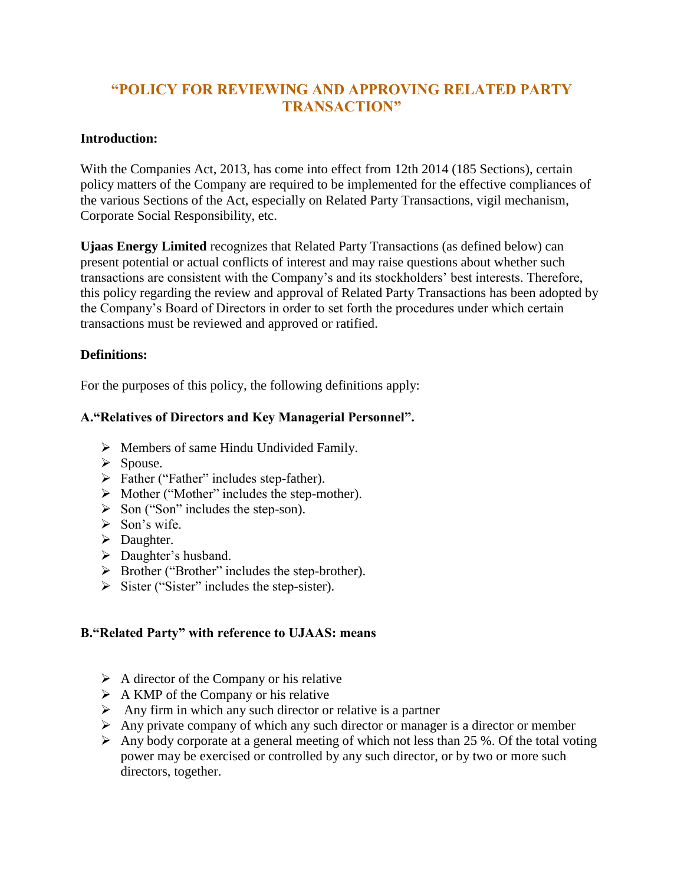# **"POLICY FOR REVIEWING AND APPROVING RELATED PARTY TRANSACTION"**

#### **Introduction:**

With the Companies Act, 2013, has come into effect from 12th 2014 (185 Sections), certain policy matters of the Company are required to be implemented for the effective compliances of the various Sections of the Act, especially on Related Party Transactions, vigil mechanism, Corporate Social Responsibility, etc.

**Ujaas Energy Limited** recognizes that Related Party Transactions (as defined below) can present potential or actual conflicts of interest and may raise questions about whether such transactions are consistent with the Company's and its stockholders' best interests. Therefore, this policy regarding the review and approval of Related Party Transactions has been adopted by the Company's Board of Directors in order to set forth the procedures under which certain transactions must be reviewed and approved or ratified.

#### **Definitions:**

For the purposes of this policy, the following definitions apply:

### **A."Relatives of Directors and Key Managerial Personnel".**

- $\triangleright$  Members of same Hindu Undivided Family.
- $\triangleright$  Spouse.
- $\triangleright$  Father ("Father" includes step-father).
- $\triangleright$  Mother ("Mother" includes the step-mother).
- $\triangleright$  Son ("Son" includes the step-son).
- $\triangleright$  Son's wife.
- $\triangleright$  Daughter.
- > Daughter's husband.
- $\triangleright$  Brother ("Brother" includes the step-brother).
- $\triangleright$  Sister ("Sister" includes the step-sister).

### **B."Related Party" with reference to UJAAS: means**

- $\triangleright$  A director of the Company or his relative
- $\triangleright$  A KMP of the Company or his relative
- $\triangleright$  Any firm in which any such director or relative is a partner
- $\triangleright$  Any private company of which any such director or manager is a director or member
- $\triangleright$  Any body corporate at a general meeting of which not less than 25 %. Of the total voting power may be exercised or controlled by any such director, or by two or more such directors, together.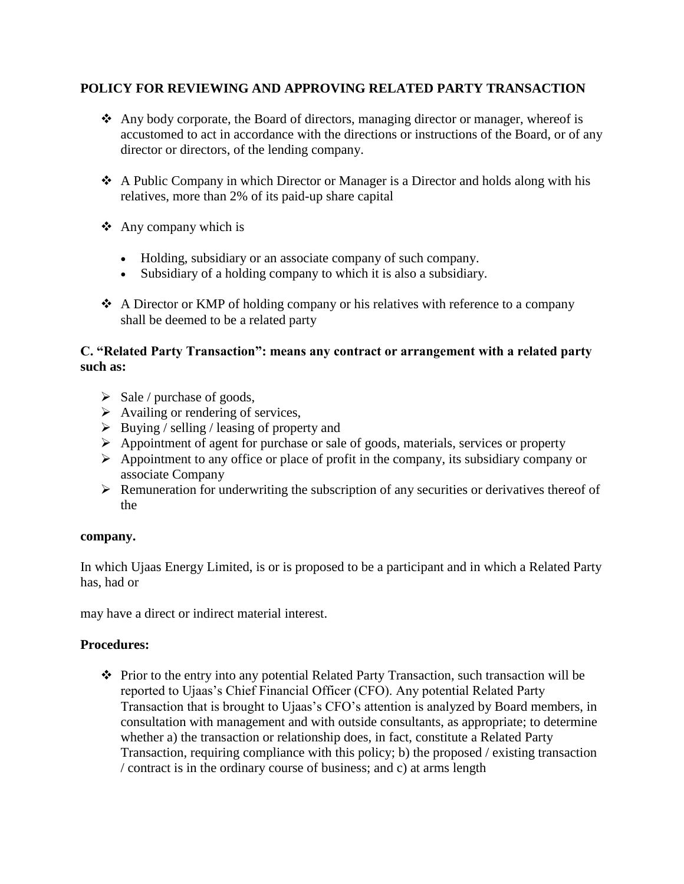### **POLICY FOR REVIEWING AND APPROVING RELATED PARTY TRANSACTION**

- Any body corporate, the Board of directors, managing director or manager, whereof is accustomed to act in accordance with the directions or instructions of the Board, or of any director or directors, of the lending company.
- A Public Company in which Director or Manager is a Director and holds along with his relatives, more than 2% of its paid-up share capital
- $\triangle$  Any company which is
	- Holding, subsidiary or an associate company of such company.
	- Subsidiary of a holding company to which it is also a subsidiary.
- A Director or KMP of holding company or his relatives with reference to a company shall be deemed to be a related party

#### **C. "Related Party Transaction": means any contract or arrangement with a related party such as:**

- $\triangleright$  Sale / purchase of goods,
- $\triangleright$  Availing or rendering of services,
- $\triangleright$  Buying / selling / leasing of property and
- $\triangleright$  Appointment of agent for purchase or sale of goods, materials, services or property
- $\triangleright$  Appointment to any office or place of profit in the company, its subsidiary company or associate Company
- Remuneration for underwriting the subscription of any securities or derivatives thereof of the

### **company.**

In which Ujaas Energy Limited, is or is proposed to be a participant and in which a Related Party has, had or

may have a direct or indirect material interest.

### **Procedures:**

\* Prior to the entry into any potential Related Party Transaction, such transaction will be reported to Ujaas's Chief Financial Officer (CFO). Any potential Related Party Transaction that is brought to Ujaas's CFO's attention is analyzed by Board members, in consultation with management and with outside consultants, as appropriate; to determine whether a) the transaction or relationship does, in fact, constitute a Related Party Transaction, requiring compliance with this policy; b) the proposed / existing transaction / contract is in the ordinary course of business; and c) at arms length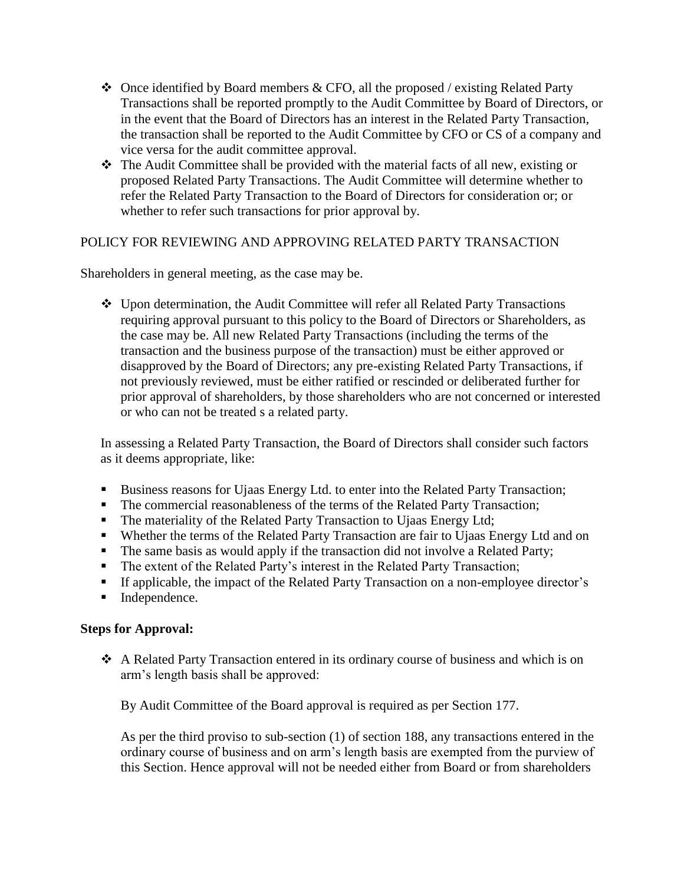- $\triangle$  Once identified by Board members & CFO, all the proposed / existing Related Party Transactions shall be reported promptly to the Audit Committee by Board of Directors, or in the event that the Board of Directors has an interest in the Related Party Transaction, the transaction shall be reported to the Audit Committee by CFO or CS of a company and vice versa for the audit committee approval.
- The Audit Committee shall be provided with the material facts of all new, existing or proposed Related Party Transactions. The Audit Committee will determine whether to refer the Related Party Transaction to the Board of Directors for consideration or; or whether to refer such transactions for prior approval by.

### POLICY FOR REVIEWING AND APPROVING RELATED PARTY TRANSACTION

Shareholders in general meeting, as the case may be.

 Upon determination, the Audit Committee will refer all Related Party Transactions requiring approval pursuant to this policy to the Board of Directors or Shareholders, as the case may be. All new Related Party Transactions (including the terms of the transaction and the business purpose of the transaction) must be either approved or disapproved by the Board of Directors; any pre-existing Related Party Transactions, if not previously reviewed, must be either ratified or rescinded or deliberated further for prior approval of shareholders, by those shareholders who are not concerned or interested or who can not be treated s a related party.

In assessing a Related Party Transaction, the Board of Directors shall consider such factors as it deems appropriate, like:

- Business reasons for Ujaas Energy Ltd. to enter into the Related Party Transaction;
- The commercial reasonableness of the terms of the Related Party Transaction;
- The materiality of the Related Party Transaction to Ujaas Energy Ltd;
- Whether the terms of the Related Party Transaction are fair to Ujaas Energy Ltd and on
- The same basis as would apply if the transaction did not involve a Related Party;
- The extent of the Related Party's interest in the Related Party Transaction;
- If applicable, the impact of the Related Party Transaction on a non-employee director's
- **Independence.**

#### **Steps for Approval:**

 A Related Party Transaction entered in its ordinary course of business and which is on arm's length basis shall be approved:

By Audit Committee of the Board approval is required as per Section 177.

As per the third proviso to sub-section (1) of section 188, any transactions entered in the ordinary course of business and on arm's length basis are exempted from the purview of this Section. Hence approval will not be needed either from Board or from shareholders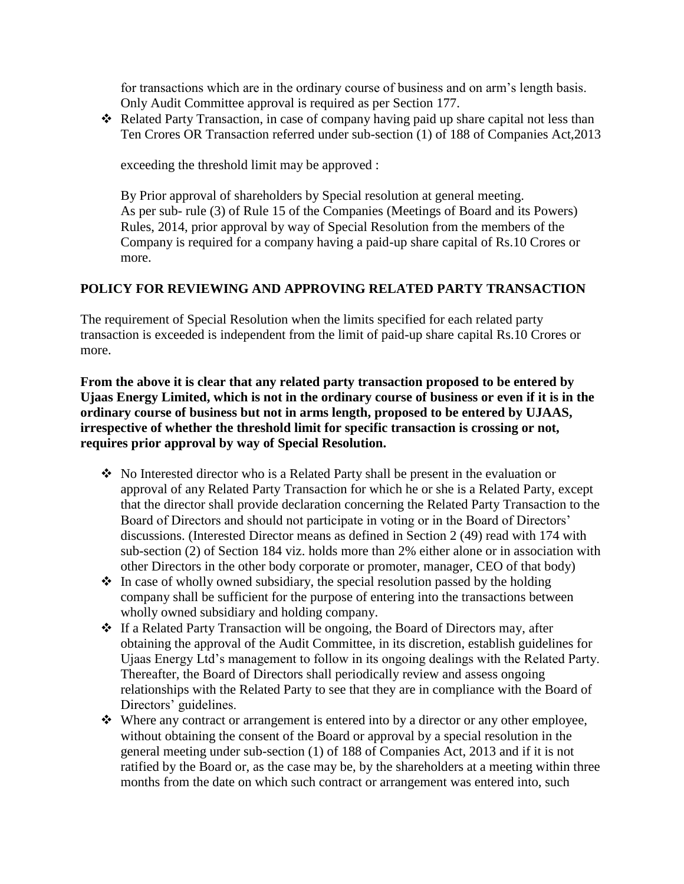for transactions which are in the ordinary course of business and on arm's length basis. Only Audit Committee approval is required as per Section 177.

 $\triangle$  Related Party Transaction, in case of company having paid up share capital not less than Ten Crores OR Transaction referred under sub-section (1) of 188 of Companies Act,2013

exceeding the threshold limit may be approved :

By Prior approval of shareholders by Special resolution at general meeting. As per sub- rule (3) of Rule 15 of the Companies (Meetings of Board and its Powers) Rules, 2014, prior approval by way of Special Resolution from the members of the Company is required for a company having a paid-up share capital of Rs.10 Crores or more.

### **POLICY FOR REVIEWING AND APPROVING RELATED PARTY TRANSACTION**

The requirement of Special Resolution when the limits specified for each related party transaction is exceeded is independent from the limit of paid-up share capital Rs.10 Crores or more.

**From the above it is clear that any related party transaction proposed to be entered by Ujaas Energy Limited, which is not in the ordinary course of business or even if it is in the ordinary course of business but not in arms length, proposed to be entered by UJAAS, irrespective of whether the threshold limit for specific transaction is crossing or not, requires prior approval by way of Special Resolution.** 

- No Interested director who is a Related Party shall be present in the evaluation or approval of any Related Party Transaction for which he or she is a Related Party, except that the director shall provide declaration concerning the Related Party Transaction to the Board of Directors and should not participate in voting or in the Board of Directors' discussions. (Interested Director means as defined in Section 2 (49) read with 174 with sub-section (2) of Section 184 viz. holds more than 2% either alone or in association with other Directors in the other body corporate or promoter, manager, CEO of that body)
- $\cdot$  In case of wholly owned subsidiary, the special resolution passed by the holding company shall be sufficient for the purpose of entering into the transactions between wholly owned subsidiary and holding company.
- \* If a Related Party Transaction will be ongoing, the Board of Directors may, after obtaining the approval of the Audit Committee, in its discretion, establish guidelines for Ujaas Energy Ltd's management to follow in its ongoing dealings with the Related Party. Thereafter, the Board of Directors shall periodically review and assess ongoing relationships with the Related Party to see that they are in compliance with the Board of Directors' guidelines.
- $\triangle$  Where any contract or arrangement is entered into by a director or any other employee, without obtaining the consent of the Board or approval by a special resolution in the general meeting under sub-section (1) of 188 of Companies Act, 2013 and if it is not ratified by the Board or, as the case may be, by the shareholders at a meeting within three months from the date on which such contract or arrangement was entered into, such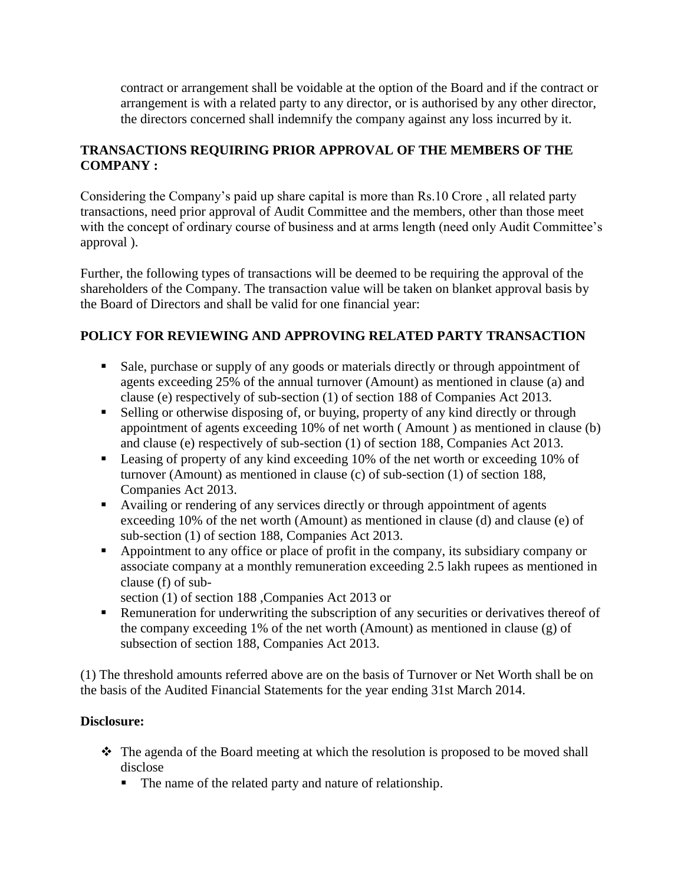contract or arrangement shall be voidable at the option of the Board and if the contract or arrangement is with a related party to any director, or is authorised by any other director, the directors concerned shall indemnify the company against any loss incurred by it.

## **TRANSACTIONS REQUIRING PRIOR APPROVAL OF THE MEMBERS OF THE COMPANY :**

Considering the Company's paid up share capital is more than Rs.10 Crore , all related party transactions, need prior approval of Audit Committee and the members, other than those meet with the concept of ordinary course of business and at arms length (need only Audit Committee's approval ).

Further, the following types of transactions will be deemed to be requiring the approval of the shareholders of the Company. The transaction value will be taken on blanket approval basis by the Board of Directors and shall be valid for one financial year:

## **POLICY FOR REVIEWING AND APPROVING RELATED PARTY TRANSACTION**

- Sale, purchase or supply of any goods or materials directly or through appointment of agents exceeding 25% of the annual turnover (Amount) as mentioned in clause (a) and clause (e) respectively of sub-section (1) of section 188 of Companies Act 2013.
- Selling or otherwise disposing of, or buying, property of any kind directly or through appointment of agents exceeding 10% of net worth ( Amount ) as mentioned in clause (b) and clause (e) respectively of sub-section (1) of section 188, Companies Act 2013.
- **Leasing of property of any kind exceeding 10% of the net worth or exceeding 10% of** turnover (Amount) as mentioned in clause (c) of sub-section (1) of section 188, Companies Act 2013.
- Availing or rendering of any services directly or through appointment of agents exceeding 10% of the net worth (Amount) as mentioned in clause (d) and clause (e) of sub-section (1) of section 188, Companies Act 2013.
- Appointment to any office or place of profit in the company, its subsidiary company or associate company at a monthly remuneration exceeding 2.5 lakh rupees as mentioned in clause (f) of sub-

section (1) of section 188 ,Companies Act 2013 or

**Remuneration for underwriting the subscription of any securities or derivatives thereof of** the company exceeding 1% of the net worth (Amount) as mentioned in clause (g) of subsection of section 188, Companies Act 2013.

(1) The threshold amounts referred above are on the basis of Turnover or Net Worth shall be on the basis of the Audited Financial Statements for the year ending 31st March 2014.

### **Disclosure:**

- The agenda of the Board meeting at which the resolution is proposed to be moved shall disclose
	- The name of the related party and nature of relationship.